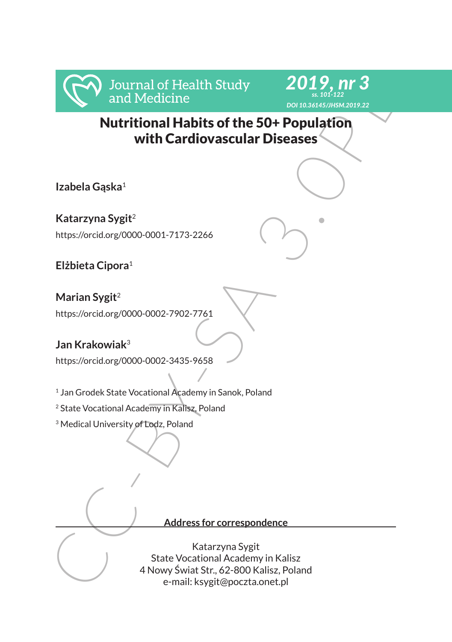



Nutritional Habits of the 50+ Population with Cardiovascular Diseases

**Izabela Gąska**<sup>1</sup>

**Katarzyna Sygit**<sup>2</sup>

https://orcid.org/0000-0001-7173-2266

**Elżbieta Cipora**<sup>1</sup>

**Marian Sygit**<sup>2</sup> https://orcid.org/0000-0002-7902-7761

# **Jan Krakowiak**<sup>3</sup>

https://orcid.org/0000-0002-3435-9658

<sup>1</sup> Jan Grodek State Vocational Academy in Sanok, Poland

<sup>2</sup> State Vocational Academy in Kalisz, Poland

<sup>3</sup> Medical University of Lodz, Poland

### **Address for correspondence**

Murritional Medicine<br>
Murritional Habits of the 50+ Population<br>
with Cardiovascular Diseases<br>
Ezabela Gaska<sup>1</sup><br>
Ratarzyna Sygit<sup>2</sup><br>
Ratarzyna Sygit<sup>2</sup><br>
Ratarzyna Sygit<sup>2</sup><br>
Hitps://orcidorg/0000-0001-7173-2266<br>
Eizbieta Cip Katarzyna Sygit State Vocational Academy in Kalisz 4 Nowy Świat Str., 62-800 Kalisz, Poland e-mail: ksygit@poczta.onet.pl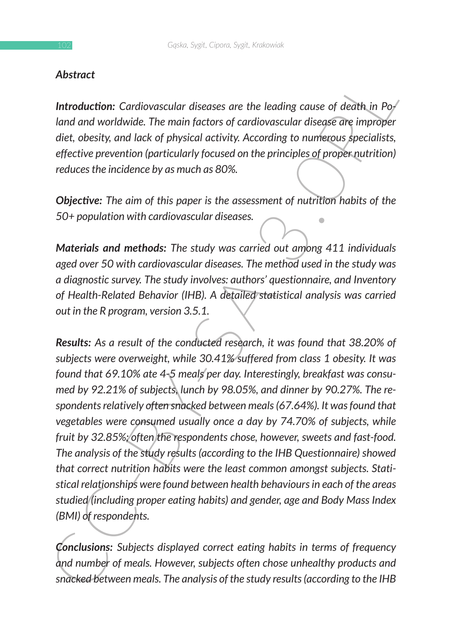### *Abstract*

*Introduction: Cardiovascular diseases are the leading cause of death in Poland and worldwide. The main factors of cardiovascular disease are improper diet, obesity, and lack of physical activity. According to numerous specialists, effective prevention (particularly focused on the principles of proper nutrition) reduces the incidence by as much as 80%.*

*Objective: The aim of this paper is the assessment of nutrition habits of the 50+ population with cardiovascular diseases.*

*Materials and methods: The study was carried out among 411 individuals aged over 50 with cardiovascular diseases. The method used in the study was a diagnostic survey. The study involves: authors' questionnaire, and Inventory of Health-Related Behavior (IHB). A detailed statistical analysis was carried out in the R program, version 3.5.1.*

**Introduction:**<br> **Contaby and worldwide.** The main factors are the leading cause of death in Po-<br>
land and worldwide. The main factors of cardiovascular disease are improper<br>
diet, obesity, and lack of physical activity. *Results: As a result of the conducted research, it was found that 38.20% of subjects were overweight, while 30.41% suffered from class 1 obesity. It was found that 69.10% ate 4-5 meals per day. Interestingly, breakfast was consumed by 92.21% of subjects, lunch by 98.05%, and dinner by 90.27%. The respondents relatively often snacked between meals (67.64%). It was found that vegetables were consumed usually once a day by 74.70% of subjects, while fruit by 32.85%; often the respondents chose, however, sweets and fast-food. The analysis of the study results (according to the IHB Questionnaire) showed that correct nutrition habits were the least common amongst subjects. Statistical relationships were found between health behaviours in each of the areas studied (including proper eating habits) and gender, age and Body Mass Index (BMI) of respondents.*

*Conclusions: Subjects displayed correct eating habits in terms of frequency and number of meals. However, subjects often chose unhealthy products and snacked between meals. The analysis of the study results (according to the IHB*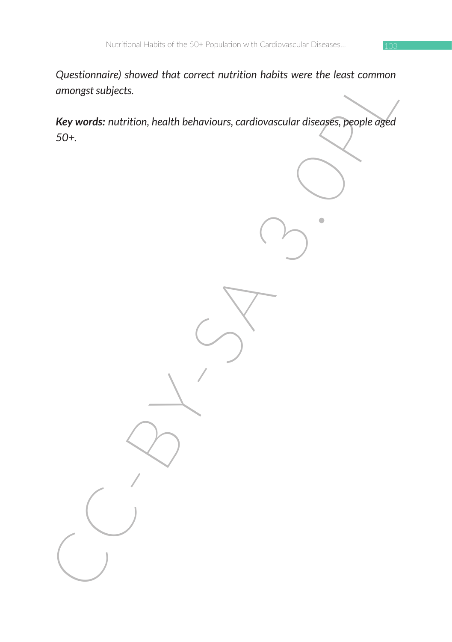*Questionnaire) showed that correct nutrition habits were the least common amongst subjects.*

Cuessimmurs showed that correct multicon habits were the redst common<br>amongst subjects.<br>Key words: nutrition, health behaviours, cardiovascular diseases, people aged<br>50+. *Key words: nutrition, health behaviours, cardiovascular diseases, people aged 50+.*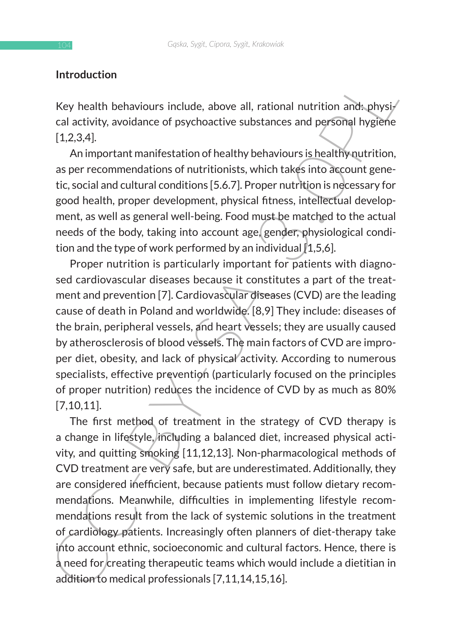### **Introduction**

Key health behaviours include, above all, rational nutrition and: physical activity, avoidance of psychoactive substances and personal hygiene  $[1,2,3,4]$ .

An important manifestation of healthy behaviours is healthy nutrition, as per recommendations of nutritionists, which takes into account genetic, social and cultural conditions [5.6.7]. Proper nutrition is necessary for good health, proper development, physical fitness, intellectual development, as well as general well-being. Food must be matched to the actual needs of the body, taking into account age, gender, physiological condition and the type of work performed by an individual  $[1,5,6]$ .

Proper nutrition is particularly important for patients with diagnosed cardiovascular diseases because it constitutes a part of the treatment and prevention [7]. Cardiovascular diseases (CVD) are the leading cause of death in Poland and worldwide. [8,9] They include: diseases of the brain, peripheral vessels, and heart vessels; they are usually caused by atherosclerosis of blood vessels. The main factors of CVD are improper diet, obesity, and lack of physical activity. According to numerous specialists, effective prevention (particularly focused on the principles of proper nutrition) reduces the incidence of CVD by as much as 80% [7,10,11].

Introduction<br>
Key health behaviours include, above all, rational nutrition ands.<br>physical activity, avoidance of psychoactive substances and personial hygient<br>
[1.2.3.4]. An important manifestation of healthy behaviours is The first method of treatment in the strategy of CVD therapy is a change in lifestyle, including a balanced diet, increased physical activity, and quitting smoking [11,12,13]. Non-pharmacological methods of CVD treatment are very safe, but are underestimated. Additionally, they are considered inefficient, because patients must follow dietary recommendations. Meanwhile, difficulties in implementing lifestyle recommendations result from the lack of systemic solutions in the treatment of cardiology patients. Increasingly often planners of diet-therapy take into account ethnic, socioeconomic and cultural factors. Hence, there is a need for creating therapeutic teams which would include a dietitian in addition to medical professionals [7,11,14,15,16].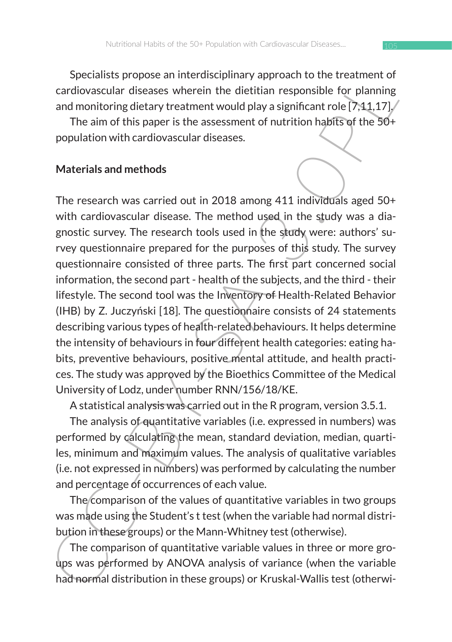Specialists propose an interdisciplinary approach to the treatment of cardiovascular diseases wherein the dietitian responsible for planning and monitoring dietary treatment would play a significant role  $[7,11,17]$ .

The aim of this paper is the assessment of nutrition habits of the 50+ population with cardiovascular diseases.

### **Materials and methods**

Specialisty propose an interustogy<br>in a cardioaxisal propose and mention of the trainent of the primal<br>and monitoring dietary treatment the dietitian responsible for planning<br>and monitoring dietary treatment would play a s The research was carried out in 2018 among 411 individuals aged 50+ with cardiovascular disease. The method used in the study was a diagnostic survey. The research tools used in the study were: authors' survey questionnaire prepared for the purposes of this study. The survey questionnaire consisted of three parts. The first part concerned social information, the second part - health of the subjects, and the third - their lifestyle. The second tool was the Inventory of Health-Related Behavior (IHB) by Z. Juczyński [18]. The questionnaire consists of 24 statements describing various types of health-related behaviours. It helps determine the intensity of behaviours in four different health categories: eating habits, preventive behaviours, positive mental attitude, and health practices. The study was approved by the Bioethics Committee of the Medical University of Lodz, under number RNN/156/18/KE.

A statistical analysis was carried out in the R program, version 3.5.1.

The analysis of quantitative variables (i.e. expressed in numbers) was performed by calculating the mean, standard deviation, median, quartiles, minimum and maximum values. The analysis of qualitative variables (i.e. not expressed in numbers) was performed by calculating the number and percentage of occurrences of each value.

The comparison of the values of quantitative variables in two groups was made using the Student's t test (when the variable had normal distribution in these groups) or the Mann-Whitney test (otherwise).

The comparison of quantitative variable values in three or more groups was performed by ANOVA analysis of variance (when the variable had normal distribution in these groups) or Kruskal-Wallis test (otherwi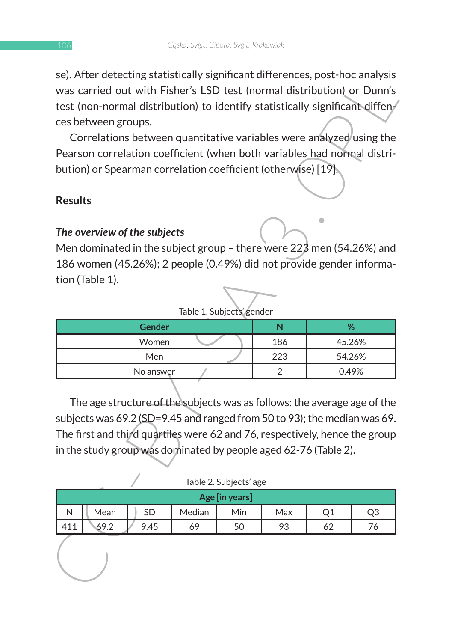se). After detecting statistically significant differences, post-hoc analysis was carried out with Fisher's LSD test (normal distribution) or Dunn's test (non-normal distribution) to identify statistically significant diffences between groups.

## **Results**

## *The overview of the subjects*

| Table 1. Subjects' gender |     |               |  |  |  |  |  |  |  |  |
|---------------------------|-----|---------------|--|--|--|--|--|--|--|--|
| <b>Gender</b>             |     | $\frac{9}{6}$ |  |  |  |  |  |  |  |  |
| Women                     | 186 | 45.26%        |  |  |  |  |  |  |  |  |
| Men                       | 223 | 54.26%        |  |  |  |  |  |  |  |  |
| No answer                 |     | 0.49%         |  |  |  |  |  |  |  |  |

#### Table 2. Subjects' age

| se). Arter detecting statistically significant differences, post-noc analysis<br>was carried out with Fisher's LSD test (normal distribution) or Dunn's |        |                        |     |        |        |  |  |  |  |  |  |
|---------------------------------------------------------------------------------------------------------------------------------------------------------|--------|------------------------|-----|--------|--------|--|--|--|--|--|--|
| test (non-normal distribution) to identify statistically significant diffen/                                                                            |        |                        |     |        |        |  |  |  |  |  |  |
| ces between groups.                                                                                                                                     |        |                        |     |        |        |  |  |  |  |  |  |
|                                                                                                                                                         |        |                        |     |        |        |  |  |  |  |  |  |
| Correlations between quantitative variables were analyzed using the<br>Pearson correlation coefficient (when both variables had normal distri-          |        |                        |     |        |        |  |  |  |  |  |  |
| bution) or Spearman correlation coefficient (otherwise) [19].                                                                                           |        |                        |     |        |        |  |  |  |  |  |  |
|                                                                                                                                                         |        |                        |     |        |        |  |  |  |  |  |  |
| <b>Results</b>                                                                                                                                          |        |                        |     |        |        |  |  |  |  |  |  |
|                                                                                                                                                         |        |                        |     |        |        |  |  |  |  |  |  |
| The overview of the subjects                                                                                                                            |        |                        |     |        |        |  |  |  |  |  |  |
| Men dominated in the subject group - there were 223 men (54.26%) and                                                                                    |        |                        |     |        |        |  |  |  |  |  |  |
| 186 women (45.26%); 2 people (0.49%) did not provide gender informa-                                                                                    |        |                        |     |        |        |  |  |  |  |  |  |
| tion (Table 1).                                                                                                                                         |        |                        |     |        |        |  |  |  |  |  |  |
|                                                                                                                                                         |        |                        |     |        |        |  |  |  |  |  |  |
|                                                                                                                                                         |        |                        |     |        |        |  |  |  |  |  |  |
| Table 1. Subjects' gender<br><b>Gender</b><br>N<br>%                                                                                                    |        |                        |     |        |        |  |  |  |  |  |  |
| Women                                                                                                                                                   |        |                        | 186 |        | 45.26% |  |  |  |  |  |  |
| Men                                                                                                                                                     |        |                        | 223 | 54.26% |        |  |  |  |  |  |  |
| No answer                                                                                                                                               |        |                        | 2   | 0.49%  |        |  |  |  |  |  |  |
|                                                                                                                                                         |        |                        |     |        |        |  |  |  |  |  |  |
| The age structure of the subjects was as follows: the average age of the                                                                                |        |                        |     |        |        |  |  |  |  |  |  |
| subjects was 69.2 (SD=9.45 and ranged from 50 to 93); the median was 69.                                                                                |        |                        |     |        |        |  |  |  |  |  |  |
| The first and third quartiles were 62 and 76, respectively, hence the group                                                                             |        |                        |     |        |        |  |  |  |  |  |  |
| in the study group was dominated by people aged 62-76 (Table 2).                                                                                        |        |                        |     |        |        |  |  |  |  |  |  |
|                                                                                                                                                         |        |                        |     |        |        |  |  |  |  |  |  |
|                                                                                                                                                         |        | Table 2. Subjects' age |     |        |        |  |  |  |  |  |  |
|                                                                                                                                                         |        | Age [in years]         |     |        |        |  |  |  |  |  |  |
| ${\sf N}$<br>Mean<br>SD                                                                                                                                 | Median | Min                    | Max | Q1     | Q3     |  |  |  |  |  |  |
| 411<br>69.2<br>9.45                                                                                                                                     | 69     | 50                     | 93  | 62     | 76     |  |  |  |  |  |  |
|                                                                                                                                                         |        |                        |     |        |        |  |  |  |  |  |  |
|                                                                                                                                                         |        |                        |     |        |        |  |  |  |  |  |  |
|                                                                                                                                                         |        |                        |     |        |        |  |  |  |  |  |  |
|                                                                                                                                                         |        |                        |     |        |        |  |  |  |  |  |  |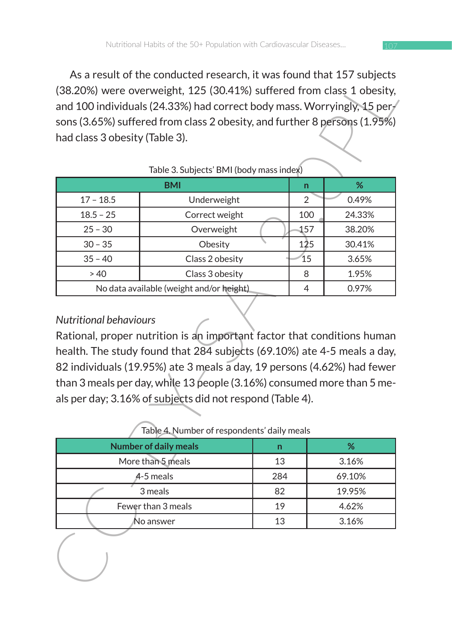As a result of the conducted research, it was found that 157 subjects (38.20%) were overweight, 125 (30.41%) suffered from class 1 obesity, and 100 individuals (24.33%) had correct body mass. Worryingly, 15 per $\sqrt{ }$ sons (3.65%) suffered from class 2 obesity, and further 8 persons (1.95%) had class 3 obesity (Table 3).

|                                          | As a result of the conducted research, it was found that 157 subjects.<br>(38.20%) were overweight, 125 (30.41%) suffered from class 1 obesity,<br>and 100 individuals (24.33%) had correct body mass. Worryingly, 15 per<br>sons (3.65%) suffered from class 2 obesity, and further 8 persons (1.95%)                                   |     |        |  |  |  |  |  |  |  |  |
|------------------------------------------|------------------------------------------------------------------------------------------------------------------------------------------------------------------------------------------------------------------------------------------------------------------------------------------------------------------------------------------|-----|--------|--|--|--|--|--|--|--|--|
| had class 3 obesity (Table 3).           |                                                                                                                                                                                                                                                                                                                                          |     |        |  |  |  |  |  |  |  |  |
|                                          |                                                                                                                                                                                                                                                                                                                                          |     |        |  |  |  |  |  |  |  |  |
| Table 3. Subjects' BMI (body mass index) |                                                                                                                                                                                                                                                                                                                                          |     |        |  |  |  |  |  |  |  |  |
|                                          | BMI                                                                                                                                                                                                                                                                                                                                      | n   | %      |  |  |  |  |  |  |  |  |
| $17 - 18.5$                              | Underweight                                                                                                                                                                                                                                                                                                                              | 2   | 0.49%  |  |  |  |  |  |  |  |  |
| $18.5 - 25$                              | Correct weight                                                                                                                                                                                                                                                                                                                           | 100 | 24.33% |  |  |  |  |  |  |  |  |
| $25 - 30$                                | Overweight                                                                                                                                                                                                                                                                                                                               | 157 | 38.20% |  |  |  |  |  |  |  |  |
| $30 - 35$                                | Obesity                                                                                                                                                                                                                                                                                                                                  | 125 | 30.41% |  |  |  |  |  |  |  |  |
| $35 - 40$                                | Class 2 obesity                                                                                                                                                                                                                                                                                                                          | 15  | 3.65%  |  |  |  |  |  |  |  |  |
| > 40                                     | Class 3 obesity                                                                                                                                                                                                                                                                                                                          | 8   | 1.95%  |  |  |  |  |  |  |  |  |
|                                          | No data available (weight and/or height)                                                                                                                                                                                                                                                                                                 | 4   | 0.97%  |  |  |  |  |  |  |  |  |
|                                          | health. The study found that 284 subjects (69.10%) ate 4-5 meals a day,<br>82 individuals (19.95%) ate 3 meals a day, 19 persons (4.62%) had fewer<br>than 3 meals per day, while 13 people (3.16%) consumed more than 5 me-<br>als per day; 3.16% of subjects did not respond (Table 4).<br>Table 4. Number of respondents' daily meals |     |        |  |  |  |  |  |  |  |  |
|                                          | <b>Number of daily meals</b><br>n                                                                                                                                                                                                                                                                                                        |     | %      |  |  |  |  |  |  |  |  |
|                                          | More than 5 meals<br>13                                                                                                                                                                                                                                                                                                                  |     | 3.16%  |  |  |  |  |  |  |  |  |
|                                          | 284<br>4-5 meals                                                                                                                                                                                                                                                                                                                         |     | 69.10% |  |  |  |  |  |  |  |  |
|                                          | 82<br>3 meals                                                                                                                                                                                                                                                                                                                            |     | 19.95% |  |  |  |  |  |  |  |  |
|                                          | Fewer than 3 meals<br>19                                                                                                                                                                                                                                                                                                                 |     | 4.62%  |  |  |  |  |  |  |  |  |
|                                          | 13<br>No answer                                                                                                                                                                                                                                                                                                                          |     | 3.16%  |  |  |  |  |  |  |  |  |
|                                          |                                                                                                                                                                                                                                                                                                                                          |     |        |  |  |  |  |  |  |  |  |

#### Table 3. Subjects' BMI (body mass index)

### *Nutritional behaviours*

| <b>Number of daily meals</b> | n   | ℅      |
|------------------------------|-----|--------|
| More than 5 meals            | 13  | 3.16%  |
| $4-5$ meals                  | 284 | 69.10% |
| 3 meals                      | 82  | 19.95% |
| Fewer than 3 meals           | 19  | 4.62%  |
| No answer                    |     | 3.16%  |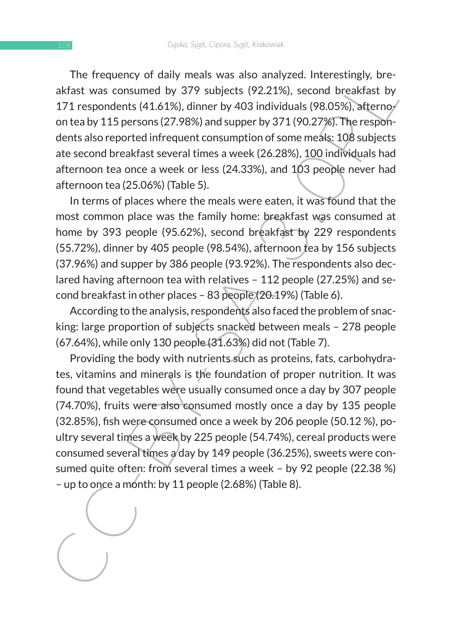The frequency of daily meals was also analyzed. Interestingly, breakfast was consumed by 379 subjects (92.21%), second breakfast by 171 respondents (41.61%), dinner by 403 individuals (98.05%), afternoon tea by 115 persons (27.98%) and supper by 371 (90.27%). The respondents also reported infrequent consumption of some meals: 108 subjects ate second breakfast several times a week (26.28%), 100 individuals had afternoon tea once a week or less (24.33%), and 103 people never had afternoon tea (25.06%) (Table 5).

In terms of places where the meals were eaten, it was found that the most common place was the family home: breakfast was consumed at home by 393 people (95.62%), second breakfast by 229 respondents (55.72%), dinner by 405 people (98.54%), afternoon tea by 156 subjects (37.96%) and supper by 386 people (93.92%). The respondents also declared having afternoon tea with relatives – 112 people (27.25%) and second breakfast in other places – 83 people (20.19%) (Table 6).

According to the analysis, respondents also faced the problem of snacking: large proportion of subjects snacked between meals – 278 people (67.64%), while only 130 people (31.63%) did not (Table 7).

The requirery of uarry means was sato antaypear. Interestingly, une-<br>akfast was consumed by 379 subjects (92.21%), second breakfast by<br>171 respondents (41.61%), dimer by 403 individuals (98.05%), atternoy<br>on tea by 115 per Providing the body with nutrients such as proteins, fats, carbohydrates, vitamins and minerals is the foundation of proper nutrition. It was found that vegetables were usually consumed once a day by 307 people (74.70%), fruits were also consumed mostly once a day by 135 people (32.85%), fish were consumed once a week by 206 people (50.12 %), poultry several times a week by 225 people (54.74%), cereal products were consumed several times a day by 149 people (36.25%), sweets were consumed quite often: from several times a week – by 92 people (22.38 %) – up to once a month: by 11 people (2.68%) (Table 8).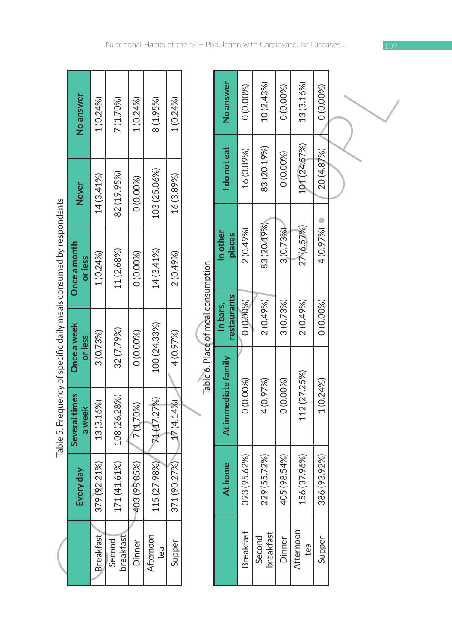|                                                                    | No answer                      | 1 (0.24%)    | 7 (1.70%)           | 1 (0.24%)    | 8(1.95%)         | 1(0.24%                   |  |
|--------------------------------------------------------------------|--------------------------------|--------------|---------------------|--------------|------------------|---------------------------|--|
|                                                                    | <b>Never</b>                   | 14 (3.41%)   | 82 (19.95%)         | 0 (0.00%)    | 103 (25.06%)     | 16 (3.89%)                |  |
| Table 5. Frequency of specific daily meals consumed by respondents | Once a month<br>or less        | 1(0.24%      | 11 (2.68%)          | 0 (0.00%)    | 14 (3.41%)       | 2 (0.49%)                 |  |
|                                                                    | <b>Dince a week</b><br>or less | 3(0.73%)     | 32 (7.79%)          | 0 (0.00%)    | 100 (24.33%)     | 4 (0.97%)                 |  |
|                                                                    | Several times<br>a week        | 13 (3.16%)   | 108 (26.28%)        | 7(1.70%)     | 71(17.27%)       |                           |  |
|                                                                    | Every day                      | 379 (92.21%) | 171 (41.61%)        | 403 (98.05%) | 115 (27.98%)     | $371(90.27%)$ $17(4.14%)$ |  |
|                                                                    |                                | Breakfast    | breakfast<br>Second | Dinner       | Afternoon<br>tea | Supper                    |  |

| j      |
|--------|
|        |
| j      |
|        |
|        |
| ;<br>; |
|        |
|        |
| ļ      |
|        |
|        |
| ŗ      |
|        |
| į      |
|        |
|        |
|        |
| i      |
|        |
|        |
|        |
|        |
|        |
|        |
|        |
|        |
|        |
|        |
|        |

|                                                                    | No answer               | 1(0.24%)         | 7(1.70%)            | 1(0.24%)     | 8 (1.95%)        | 1(0.24%)     |                                    | No answer               | 0 (0.00%)        | 10 (2.43%)          | 0(0.00%)     | 13 (3.16%)       | 0 (0.00%)    |  |
|--------------------------------------------------------------------|-------------------------|------------------|---------------------|--------------|------------------|--------------|------------------------------------|-------------------------|------------------|---------------------|--------------|------------------|--------------|--|
|                                                                    | <b>Never</b>            | 14 (3.41%)       | 82 (19.95%)         | 0 (0.00%)    | 103 (25.06%)     | 16 (3.89%)   |                                    | I do not eat            | 16 (3.89%)       | 83 (20.19%)         | 0 (0.00%)    | 101 (24.57%)     | 20 (4.87%)   |  |
|                                                                    | Once a month<br>or less | 1(0.24%)         | 11 (2.68%)          | 0 (0.00%)    | 14 (3.41%)       | 2 (0.49%)    |                                    | In other<br>places      | 2 (0.49%)        | 83 (20.19%)         | 3(0.73%)     | 27 (6.57%)       | 4 (0.97%)    |  |
| Table 5. Frequency of specific daily meals consumed by respondents | Once a week<br>or less  | 3(0.73%)         | 32 (7.79%)          | 0 (0.00%)    | 100 (24.33%)     | 4 (0.97%)    | Table 6. Place of meal consumption | restaurants<br>In bars, | 0(0.00%          | 2 (0.49%)           | 3(0.73%)     | 2 (0.49%)        | 0(0.00%)     |  |
|                                                                    | Several times<br>a week | 13 (3.16%)       | 108 (26.28%)        | 7(1,70%)     | 71(17.27%)       | 17 (4.14%)   |                                    | At immediate family     | 0 (0.00%)        | 4 (0.97%)           | 0 (0.00%)    | 112 (27.25%)     | 1(0.24%)     |  |
|                                                                    | Every day               | 379 (92.21%)     | 171 (41.61%)        | 403 (98.05%) | 115 (27.98%)     | 371 (90.27%) |                                    | At home                 | 393 (95.62%)     | 229 (55.72%)        | 405 (98.54%) | 156 (37.96%)     | 386 (93.92%) |  |
|                                                                    |                         | <b>Breakfast</b> | breakfast<br>Second | Dinner       | Afternoon<br>tea | Supper       |                                    |                         | <b>Breakfast</b> | Second<br>breakfast | Dinner       | Afternoon<br>tea | Supper       |  |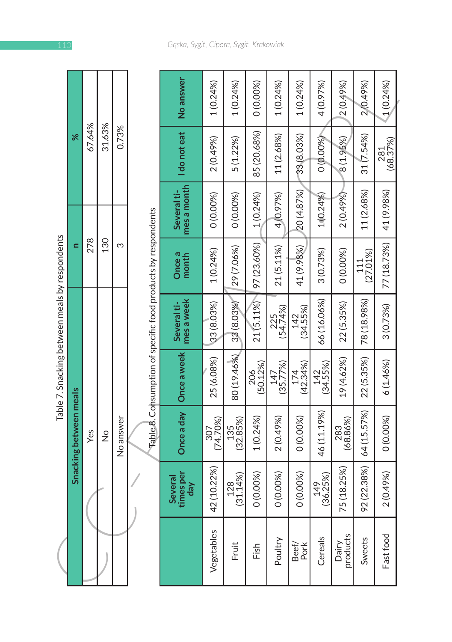|                                                | ş                             | 67.64% | 31.63%        | 0.73%     |  |
|------------------------------------------------|-------------------------------|--------|---------------|-----------|--|
|                                                |                               | 278    | 130           |           |  |
| Table 7. Snacking between meals by respondents | <b>Snacking between meals</b> | Yes    | $\frac{1}{2}$ | No answer |  |
|                                                |                               |        |               |           |  |

|                                                |                        |        |               |           |                                                               | No answer                   | 1(0.24%         | $1(0.24\%)$             | 0 (0.00%)       | 1(0.24%         | 1(0.24%)        | 4 (0.97%)       | 2 (0.49%)         | 2 (0.49%)       | 1(0.24%     |
|------------------------------------------------|------------------------|--------|---------------|-----------|---------------------------------------------------------------|-----------------------------|-----------------|-------------------------|-----------------|-----------------|-----------------|-----------------|-------------------|-----------------|-------------|
|                                                | ৯ৎ                     | 67.64% | 31.63%        | 0.73%     |                                                               | I do not eat                | 2 (0.49%)       | 5(1.22%)                | 85 (20.68%)     | 11 (2.68%)      | 33 (8.03%)      | 0 (0.00%)       | 8 (1.95%)         | 31 (7.54%)      | (68.37%)    |
|                                                |                        |        |               |           |                                                               | mes a month<br>Several ti-  | 0(0.00%)        | 0 (0.00%)               | 1(0.24%)        | 4 (0.97%)       | 20 (4.87%)      | 1(0.24%)        | 2 (0.49%)         | 11 (2.68%)      | 41 (9.98%)  |
|                                                | Ξ                      | 278    | 130           | ω         |                                                               | Once a<br>month             | 1(0.24%)        | 29 (7.06%)              | 97 (23.60%)     | 21 (5.11%)      | 41 (9.98%)      | 3 (0.73%)       | 0 (0.00%)         | (27.01%)<br>111 | 77 (18.73%) |
|                                                |                        |        |               |           |                                                               | mes a week<br>Several ti-   | 33 (8.03%)      | 33 (8.03%)              | 21(5.11%)       | (54.74%)        | 142<br>(34.55%) | 66 (16.06%)     | 22 (5.35%)        | 78 (18.98%)     | 3 (0.73%)   |
| Table 7. Snacking between meals by respondents |                        |        |               |           | Table 8. Consumption of specific food products by respondents | Once a week                 | 25 (6.08%)      | 80 (19.46%)             | 206<br>(50.12%) | (35.77%)<br>147 | (42.34%)<br>174 | 142<br>(34.55%) | 19 (4.62%)        | 22 (5.35%)      | 6(1.46%)    |
|                                                | Snacking between meals | Yes    | $\frac{1}{2}$ | No answer |                                                               | Once a day                  | (74.70%)<br>307 | 135<br>(32.85%)         | 1(0.24%)        | 2 (0.49%)       | 0 (0.00%)       | 46 (11.19%)     | (68.86%)<br>283   | 64 (15.57%)     | 0 (0.00%)   |
|                                                |                        |        |               |           |                                                               | times per<br>Several<br>day | 42 (10.22%)     | $\frac{128}{(31.14\%)}$ | 0 (0.00%)       | 0 (0.00%)       | 0 (0.00%)       | (36.25%)<br>149 | 75 (18.25%)       | 92 (22.38%)     | 2 (0.49%)   |
|                                                |                        |        |               |           |                                                               |                             | Vegetables      | Fruit                   | Fish            | Poultry         | Beef/<br>Pork   | Cereals         | Dairy<br>products | Sweets          | Fast food   |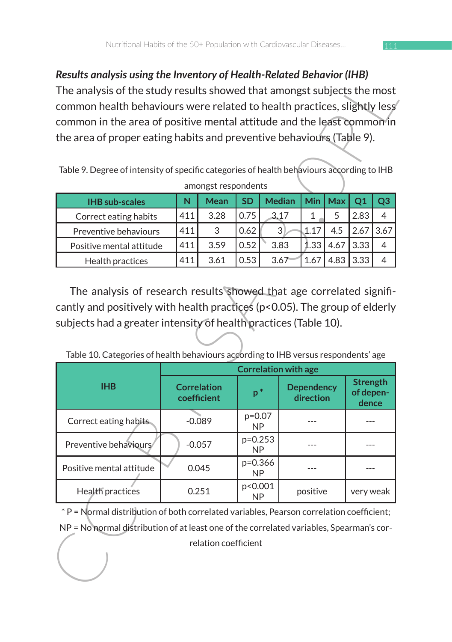### *Results analysis using the Inventory of Health-Related Behavior (IHB)*

| <b>IHB</b> sub-scales    |                 | Mean | <b>SD</b> | <b>Median</b> | Min  | Max  |      |  |
|--------------------------|-----------------|------|-----------|---------------|------|------|------|--|
| Correct eating habits    | 411             | 3.28 | 0.75      | 3.17          |      |      | 2.83 |  |
| Preventive behaviours    | 411             | 3    | 0.62      | 3             |      |      |      |  |
| Positive mental attitude | 411             | 3.59 | 0.52      | 3.83          | 1.33 |      | 3.33 |  |
| Health practices         | 41 <sup>1</sup> | 3.61 | 0.53      | 3.67          |      | 4.83 | 3.33 |  |

| Results analysis using the inventory of Health-Related Benavior (IHB)<br>The analysis of the study results showed that amongst subjects the most                                                                                                                    |     |                                   |                       |  |               |                                |      |                                       |                |  |  |  |
|---------------------------------------------------------------------------------------------------------------------------------------------------------------------------------------------------------------------------------------------------------------------|-----|-----------------------------------|-----------------------|--|---------------|--------------------------------|------|---------------------------------------|----------------|--|--|--|
| common health behaviours were related to health practices, slightly less                                                                                                                                                                                            |     |                                   |                       |  |               |                                |      |                                       |                |  |  |  |
| common in the area of positive mental attitude and the least common in<br>the area of proper eating habits and preventive behaviours (Table 9).                                                                                                                     |     |                                   |                       |  |               |                                |      |                                       |                |  |  |  |
|                                                                                                                                                                                                                                                                     |     |                                   |                       |  |               |                                |      |                                       |                |  |  |  |
|                                                                                                                                                                                                                                                                     |     |                                   |                       |  |               |                                |      |                                       |                |  |  |  |
| Table 9. Degree of intensity of specific categories of health behaviours according to IHB                                                                                                                                                                           |     |                                   |                       |  |               |                                |      |                                       |                |  |  |  |
| amongst respondents                                                                                                                                                                                                                                                 |     |                                   |                       |  |               |                                |      |                                       |                |  |  |  |
| <b>IHB</b> sub-scales                                                                                                                                                                                                                                               | N   | Mean                              | <b>SD</b>             |  | <b>Median</b> | Min                            | Max  | Q1                                    | Q <sub>3</sub> |  |  |  |
| Correct eating habits                                                                                                                                                                                                                                               | 411 | 3.28                              | 0.75                  |  | 3.17          | 1                              | 5    | 2.83                                  | 4              |  |  |  |
| Preventive behaviours                                                                                                                                                                                                                                               | 411 | 3                                 | 0.62                  |  | $\mathbf{3}$  | 1.17                           | 4.5  | 2.67                                  | 3.67           |  |  |  |
| Positive mental attitude                                                                                                                                                                                                                                            | 411 | 3.59                              | 0.52                  |  | 3.83          | 1.33                           | 4.67 | 3.33                                  | 4              |  |  |  |
| Health practices                                                                                                                                                                                                                                                    | 411 | 3.61                              | 0.53                  |  | 3.67          | 1.67                           | 4.83 | 3.33                                  | 4              |  |  |  |
| cantly and positively with health practices (p<0.05). The group of elderly<br>subjects had a greater intensity of health practices (Table 10).<br>Table 10. Categories of health behaviours according to IHB versus respondents' age<br><b>Correlation with age</b> |     |                                   |                       |  |               |                                |      |                                       |                |  |  |  |
|                                                                                                                                                                                                                                                                     |     |                                   |                       |  |               |                                |      |                                       |                |  |  |  |
| <b>IHB</b>                                                                                                                                                                                                                                                          |     | <b>Correlation</b><br>coefficient | $p^*$                 |  |               | <b>Dependency</b><br>direction |      | <b>Strength</b><br>of depen-<br>dence |                |  |  |  |
| Correct eating habits.                                                                                                                                                                                                                                              |     | $-0.089$                          | $p=0.07$<br><b>NP</b> |  |               | ---                            |      | ---                                   |                |  |  |  |
| Preventive behaviours                                                                                                                                                                                                                                               |     | $-0.057$                          | p=0.253<br><b>NP</b>  |  |               |                                |      | $---$                                 |                |  |  |  |
| Positive mental attitude                                                                                                                                                                                                                                            |     | 0.045                             | p=0.366<br>NP         |  |               | ---                            |      | $---$                                 |                |  |  |  |
| Health practices                                                                                                                                                                                                                                                    |     | 0.251                             | p<0.001<br>NP         |  |               | positive                       |      | very weak                             |                |  |  |  |
| * P = Normal distribution of both correlated variables, Pearson correlation coefficient;                                                                                                                                                                            |     |                                   |                       |  |               |                                |      |                                       |                |  |  |  |
| NP = No normal distribution of at least one of the correlated variables, Spearman's cor-                                                                                                                                                                            |     |                                   |                       |  |               |                                |      |                                       |                |  |  |  |
|                                                                                                                                                                                                                                                                     |     | relation coefficient              |                       |  |               |                                |      |                                       |                |  |  |  |

Table 10. Categories of health behaviours according to IHB versus respondents' age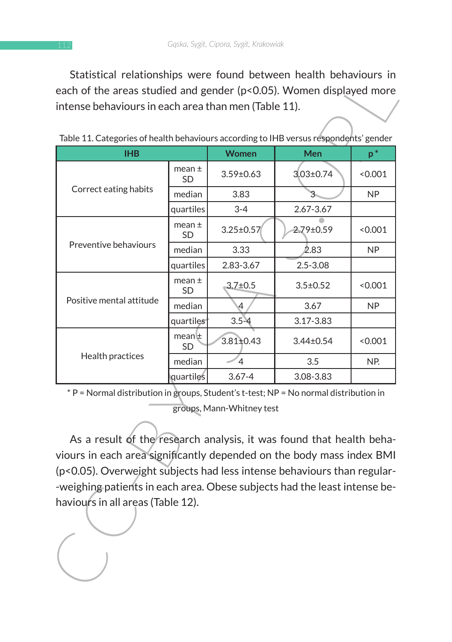Statistical relationships were found between health behaviours in each of the areas studied and gender (p<0.05). Women displayed more intense behaviours in each area than men (Table 11).

| each of the areas studied and gender (p<0.05). Women displayed more                                            |                                                                                                                                                                                                                          |                           |                 | Statistical relationships were found between nealth behaviours in |  |  |  |  |  |  |
|----------------------------------------------------------------------------------------------------------------|--------------------------------------------------------------------------------------------------------------------------------------------------------------------------------------------------------------------------|---------------------------|-----------------|-------------------------------------------------------------------|--|--|--|--|--|--|
| intense behaviours in each area than men (Table 11).                                                           |                                                                                                                                                                                                                          |                           |                 |                                                                   |  |  |  |  |  |  |
| Table 11. Categories of health behaviours according to IHB versus respondents' gender                          |                                                                                                                                                                                                                          |                           |                 |                                                                   |  |  |  |  |  |  |
| <b>IHB</b>                                                                                                     |                                                                                                                                                                                                                          | Women                     | Men             | $p^*$                                                             |  |  |  |  |  |  |
|                                                                                                                | $mean \pm$<br>SD                                                                                                                                                                                                         | $3.59 \pm 0.63$           | $3.03 \pm 0.74$ | < 0.001                                                           |  |  |  |  |  |  |
| Correct eating habits                                                                                          | median                                                                                                                                                                                                                   | 3.83                      | 3.              | NP                                                                |  |  |  |  |  |  |
|                                                                                                                | quartiles                                                                                                                                                                                                                | $3 - 4$                   | 2.67-3.67       |                                                                   |  |  |  |  |  |  |
|                                                                                                                | mean $\pm$<br>SD                                                                                                                                                                                                         | $3.25 \pm 0.57$           | 2.79±0.59       | < 0.001                                                           |  |  |  |  |  |  |
| Preventive behaviours                                                                                          | median                                                                                                                                                                                                                   | 3.33                      | 2.83            | NP                                                                |  |  |  |  |  |  |
|                                                                                                                | quartiles                                                                                                                                                                                                                | 2.83-3.67                 | $2.5 - 3.08$    |                                                                   |  |  |  |  |  |  |
|                                                                                                                | mean $\pm$<br>SD                                                                                                                                                                                                         | $3.7 \pm 0.5$             | $3.5 \pm 0.52$  | < 0.001                                                           |  |  |  |  |  |  |
| Positive mental attitude                                                                                       | median                                                                                                                                                                                                                   | 4                         | 3.67            | <b>NP</b>                                                         |  |  |  |  |  |  |
|                                                                                                                | quartiles                                                                                                                                                                                                                | $3.5 - 4$                 | 3.17-3.83       |                                                                   |  |  |  |  |  |  |
|                                                                                                                | mean⊯<br>SD                                                                                                                                                                                                              | $3.81 \pm 0.43$           | 3.44±0.54       | < 0.001                                                           |  |  |  |  |  |  |
| Health practices                                                                                               | median                                                                                                                                                                                                                   | $\overline{4}$            | 3.5             | NP.                                                               |  |  |  |  |  |  |
|                                                                                                                | quartiles                                                                                                                                                                                                                | $3.67 - 4$                | 3.08-3.83       |                                                                   |  |  |  |  |  |  |
| * P = Normal distribution in groups, Student's t-test; NP = No normal distribution in                          |                                                                                                                                                                                                                          | groups, Mann-Whitney test |                 |                                                                   |  |  |  |  |  |  |
|                                                                                                                | As a result of the research analysis, it was found that health beha-<br>viours in each area significantly depended on the body mass index BMI<br>(p<0.05). Overweight subjects had less intense behaviours than regular- |                           |                 |                                                                   |  |  |  |  |  |  |
| -weighing patients in each area. Obese subjects had the least intense be-<br>haviours in all areas (Table 12). |                                                                                                                                                                                                                          |                           |                 |                                                                   |  |  |  |  |  |  |

| Table 11. Categories of health behaviours according to IHB versus respondents' gender |  |  |
|---------------------------------------------------------------------------------------|--|--|
|                                                                                       |  |  |
|                                                                                       |  |  |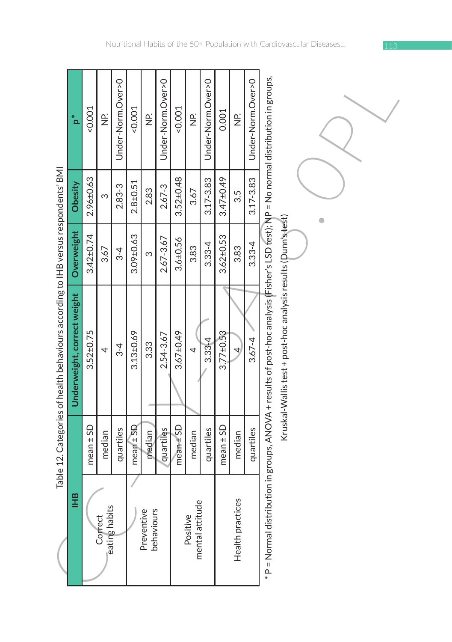| j<br>ĭ<br>ĺ                        |
|------------------------------------|
|                                    |
|                                    |
| i                                  |
|                                    |
|                                    |
|                                    |
|                                    |
|                                    |
|                                    |
|                                    |
|                                    |
|                                    |
| $\mathbf{I}$                       |
| ׇ֚֚֘֝֝                             |
|                                    |
|                                    |
| )                                  |
|                                    |
|                                    |
|                                    |
|                                    |
|                                    |
| יים הוויח המה המונ                 |
|                                    |
|                                    |
|                                    |
|                                    |
|                                    |
|                                    |
| j                                  |
|                                    |
|                                    |
|                                    |
|                                    |
| キー・ヘッキン へんき                        |
|                                    |
|                                    |
|                                    |
| )                                  |
| ֧֚֝<br>֧֪֚֚֚֚֝<br>֚֚֚֚֚֝֝ <u>֓</u> |
| ١                                  |
|                                    |
|                                    |
|                                    |
| ۱                                  |
| j                                  |
| ١                                  |

|                                                                                    | *<br>م                      | 0.001                    | $\frac{\rho}{\mathsf{Z}}$ | Under-Norm.Over>0        | $-0.001$        | $\frac{\rho}{\mathbf{Z}}$ | Under-Norm.Over>0           | 1001            | $\frac{\rho}{\mathbf{Z}}$ | Under-Norm.Over>0 | 0.001           | $\frac{\rho}{\mathbf{Z}}$ | Under-Norm.Over>0 |                                                                                                                                       |                                                               |  |  |  |
|------------------------------------------------------------------------------------|-----------------------------|--------------------------|---------------------------|--------------------------|-----------------|---------------------------|-----------------------------|-----------------|---------------------------|-------------------|-----------------|---------------------------|-------------------|---------------------------------------------------------------------------------------------------------------------------------------|---------------------------------------------------------------|--|--|--|
|                                                                                    | Obesity                     | 2.96±0.63                | m                         | 2.83-3                   | $2.8 + 0.51$    | 2.83                      | $2.67 - 3$                  | $3.52 \pm 0.48$ | 3.67                      | $3.17 - 3.83$     | 3.47±0.49       | 3.5                       | $3.17 - 3.83$     |                                                                                                                                       |                                                               |  |  |  |
|                                                                                    | Overweight                  | $3.42 \pm 0.74$          | 3.67                      | $3-4$                    | 3.09±0.63       | က                         | 2.67-3.67                   | $3.6 + 0.56$    | 3.83                      | $3.33 - 4$        | $3.62 \pm 0.53$ | 3.83                      | $3.33 - 4$        |                                                                                                                                       |                                                               |  |  |  |
| Table 12. Categories of health behaviours according to IHB versus respondents' BMI | Underweight, correct weight | $3.52 \pm 0.75$          | 4                         | $3-4$                    | $3.13 \pm 0.69$ | 3.33                      | 2.54-3.67                   | $3.67 \pm 0.49$ | $\overline{a}$            | $3.33 - 4$        | $3.77 \pm 0.53$ | 4                         | $3.67 - 4$        | * P = Normal distribution in groups, ANOVA + results of post-hoc analysis (Fisher's LSD fest); NP = No normal distribution in groups, | Kruskal-Wallis test + post-hoc analysis results (Dunn's test) |  |  |  |
|                                                                                    |                             | $mean \pm SD$            | median                    | quartiles                | $mean \pm SD$   | median                    | quartiles                   | $mean \pm SD$   | median                    | quartiles         | $mean \pm SD$   | median                    | quartiles         |                                                                                                                                       |                                                               |  |  |  |
|                                                                                    | <b>HHB</b>                  | eating habits<br>Correct |                           | Preventive<br>behaviours |                 |                           | mental attitude<br>Positive |                 |                           | Health practices  |                 |                           |                   |                                                                                                                                       |                                                               |  |  |  |

<sup>\*</sup> P = Normal distribution in groups, ANOVA + results of post-hoc analysis (Fisher's LSD test); NP = No normal distribution in groups, Kruskal-Wallis test + post-hoc analysis results (Dunn's test)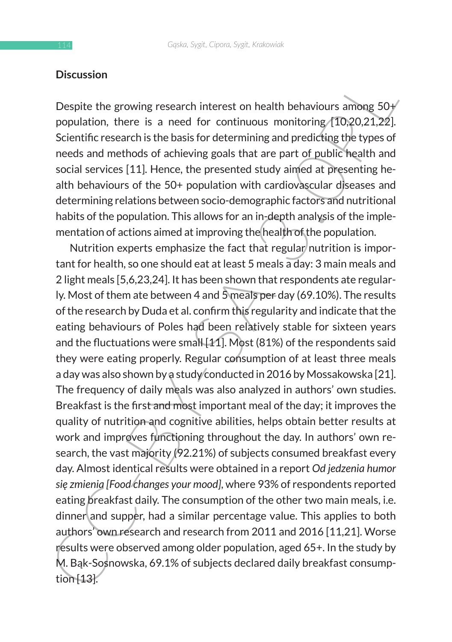### **Discussion**

Despite the growing research interest on health behaviours among  $50+$ population, there is a need for continuous monitoring  $(10.20.21.22)$ . Scientific research is the basis for determining and predicting the types of needs and methods of achieving goals that are part of public health and social services [11]. Hence, the presented study aimed at presenting health behaviours of the 50+ population with cardiovascular diseases and determining relations between socio-demographic factors and nutritional habits of the population. This allows for an in-depth analysis of the implementation of actions aimed at improving the health of the population.

Discussion<br>
Despite the growing research interest on health behaviours among 50+<br>
Despite the growing research interest on health behaviours among 50+<br>
Scientific research is the besis for determining and predicting type Nutrition experts emphasize the fact that regular nutrition is important for health, so one should eat at least 5 meals a day: 3 main meals and 2 light meals [5,6,23,24]. It has been shown that respondents ate regularly. Most of them ate between 4 and 5 meals per day (69.10%). The results of the research by Duda et al. confirm this regularity and indicate that the eating behaviours of Poles had been relatively stable for sixteen years and the fluctuations were small [11]. Most (81%) of the respondents said they were eating properly. Regular consumption of at least three meals a day was also shown by a study conducted in 2016 by Mossakowska [21]. The frequency of daily meals was also analyzed in authors' own studies. Breakfast is the first and most important meal of the day; it improves the quality of nutrition and cognitive abilities, helps obtain better results at work and improves functioning throughout the day. In authors' own research, the vast majority (92.21%) of subjects consumed breakfast every day. Almost identical results were obtained in a report *Od jedzenia humor się zmienia [Food changes your mood]*, where 93% of respondents reported eating breakfast daily. The consumption of the other two main meals, i.e. dinner and supper, had a similar percentage value. This applies to both authors' own research and research from 2011 and 2016 [11,21]. Worse results were observed among older population, aged 65+. In the study by M. Bąk-Sosnowska, 69.1% of subjects declared daily breakfast consumption [13].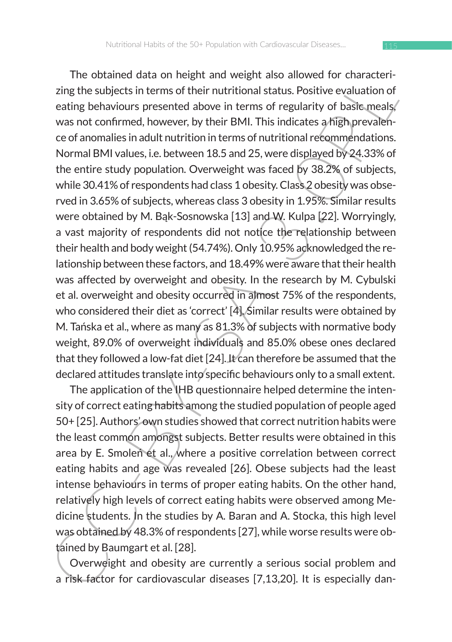The outlined data of negrial and only and weight and so allowed or characterical<br>respection between the subjects in terms of their nutritional status. Positive evaluation of<br>eating behaviours presented above in terms of r The obtained data on height and weight also allowed for characterizing the subjects in terms of their nutritional status. Positive evaluation of eating behaviours presented above in terms of regularity of basic meals. was not confirmed, however, by their BMI. This indicates a high prevalence of anomalies in adult nutrition in terms of nutritional recommendations. Normal BMI values, i.e. between 18.5 and 25, were displayed by 24.33% of the entire study population. Overweight was faced by 38.2% of subjects, while 30.41% of respondents had class 1 obesity. Class 2 obesity was observed in 3.65% of subjects, whereas class 3 obesity in 1.95%. Similar results were obtained by M. Bąk-Sosnowska [13] and W. Kulpa [22]. Worryingly, a vast majority of respondents did not notice the relationship between their health and body weight (54.74%). Only 10.95% acknowledged the relationship between these factors, and 18.49% were aware that their health was affected by overweight and obesity. In the research by M. Cybulski et al. overweight and obesity occurred in almost 75% of the respondents, who considered their diet as 'correct' [4]. Similar results were obtained by M. Tańska et al., where as many as 81.3% of subjects with normative body weight, 89.0% of overweight individuals and 85.0% obese ones declared that they followed a low-fat diet [24]. It can therefore be assumed that the declared attitudes translate into specific behaviours only to a small extent.

The application of the IHB questionnaire helped determine the intensity of correct eating habits among the studied population of people aged 50+ [25]. Authors' own studies showed that correct nutrition habits were the least common amongst subjects. Better results were obtained in this area by E. Smoleń et al., where a positive correlation between correct eating habits and age was revealed [26]. Obese subjects had the least intense behaviours in terms of proper eating habits. On the other hand, relatively high levels of correct eating habits were observed among Medicine students. In the studies by A. Baran and A. Stocka, this high level was obtained by 48.3% of respondents [27], while worse results were obtained by Baumgart et al. [28].

Overweight and obesity are currently a serious social problem and a risk factor for cardiovascular diseases [7,13,20]. It is especially dan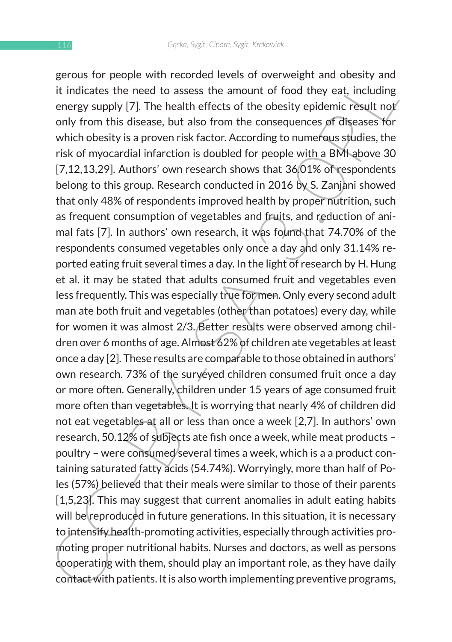it indicates the need to assess the amount of food they east, including<br>it indicates the need to assess the amount of food they eat, including<br>energy supply [7]. The health effects of the obsiry epidemic result not<br>only fr gerous for people with recorded levels of overweight and obesity and it indicates the need to assess the amount of food they eat, including energy supply [7]. The health effects of the obesity epidemic result not only from this disease, but also from the consequences of diseases for which obesity is a proven risk factor. According to numerous studies, the risk of myocardial infarction is doubled for people with a BMI above 30 [7,12,13,29]. Authors' own research shows that 36,01% of respondents belong to this group. Research conducted in 2016 by S. Zanjani showed that only 48% of respondents improved health by proper nutrition, such as frequent consumption of vegetables and fruits, and reduction of animal fats [7]. In authors' own research, it was found that 74.70% of the respondents consumed vegetables only once a day and only 31.14% reported eating fruit several times a day. In the light of research by H. Hung et al. it may be stated that adults consumed fruit and vegetables even less frequently. This was especially true for men. Only every second adult man ate both fruit and vegetables (other than potatoes) every day, while for women it was almost 2/3. Better results were observed among children over 6 months of age. Almost 62% of children ate vegetables at least once a day [2]. These results are comparable to those obtained in authors' own research. 73% of the surveyed children consumed fruit once a day or more often. Generally, children under 15 years of age consumed fruit more often than vegetables. It is worrying that nearly 4% of children did not eat vegetables at all or less than once a week [2,7]. In authors' own research, 50.12% of subjects ate fish once a week, while meat products – poultry – were consumed several times a week, which is a a product containing saturated fatty acids (54.74%). Worryingly, more than half of Poles (57%) believed that their meals were similar to those of their parents [1,5,23]. This may suggest that current anomalies in adult eating habits will be reproduced in future generations. In this situation, it is necessary to intensify health-promoting activities, especially through activities promoting proper nutritional habits. Nurses and doctors, as well as persons cooperating with them, should play an important role, as they have daily contact with patients. It is also worth implementing preventive programs,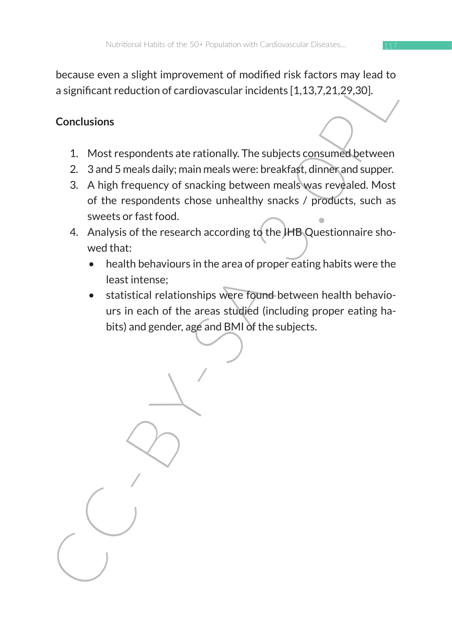because even a slight improvement of modified risk factors may lead to a significant reduction of cardiovascular incidents [1,13,7,21,29,30].

# **Conclusions**

- 1. Most respondents ate rationally. The subjects consumed between
- 2. 3 and 5 meals daily; main meals were: breakfast, dinner and supper.
- 3. A high frequency of snacking between meals was revealed. Most of the respondents chose unhealthy snacks / products, such as sweets or fast food.
- 4. Analysis of the research according to the IHB Questionnaire showed that:
	- health behaviours in the area of proper eating habits were the least intense;
	- statistical relationships were found between health behaviours in each of the areas studied (including proper eating habits) and gender, age and BMI of the subjects.

because even a significant reduction of cardiovascular incidents [1.13.7,21.29.30].<br>Conclusions<br>1. Most respondents ate rationally. The subjects consumed between<br>2. 3 and 5 meals daily, main meals were: breakfast, dimneran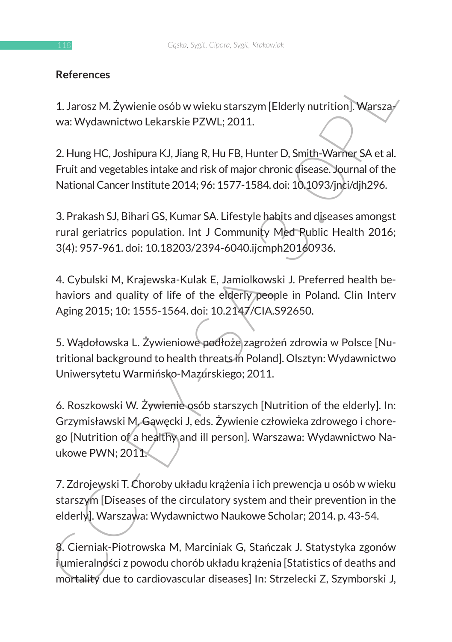## **References**

1. Jarosz M. Żywienie osób w wieku starszym [Elderly nutrition]. Warszawa: Wydawnictwo Lekarskie PZWL; 2011.

2. Hung HC, Joshipura KJ, Jiang R, Hu FB, Hunter D, Smith-Warner SA et al. Fruit and vegetables intake and risk of major chronic disease. Journal of the National Cancer Institute 2014; 96: 1577-1584. doi: 10.1093/jnci/djh296.

3. Prakash SJ, Bihari GS, Kumar SA. Lifestyle habits and diseases amongst rural geriatrics population. Int J Community Med Public Health 2016; 3(4): 957-961. doi: 10.18203/2394-6040.ijcmph20160936.

4. Cybulski M, Krajewska-Kulak E, Jamiolkowski J. Preferred health behaviors and quality of life of the elderly people in Poland. Clin Interv Aging 2015; 10: 1555-1564. doi: 10.2147/CIA.S92650.

5. Wądołowska L. Żywieniowe podłoże zagrożeń zdrowia w Polsce [Nutritional background to health threats in Poland]. Olsztyn: Wydawnictwo Uniwersytetu Warmińsko-Mazurskiego; 2011.

References<br>
1. Jarosz M. Żywienie osób w wieku starszym [Elderly nutrition]. Warszay<br>
wa: Wydawnictwo Lekarskie PZWL; 2011.<br>
2. Hung HC, Joshipura KJ, Jiang R, Hu FB, Hunter D, Smith-Warner SA et al.<br>
Fruit and vegetables 6. Roszkowski W. Żywienie osób starszych [Nutrition of the elderly]. In: Grzymisławski M, Gawęcki J, eds. Żywienie człowieka zdrowego i chorego [Nutrition of a healthy and ill person]. Warszawa: Wydawnictwo Naukowe PWN; 2011.

7. Zdrojewski T. Choroby układu krążenia i ich prewencja u osób w wieku starszym [Diseases of the circulatory system and their prevention in the elderly]. Warszawa: Wydawnictwo Naukowe Scholar; 2014. p. 43-54.

8. Cierniak-Piotrowska M, Marciniak G, Stańczak J. Statystyka zgonów i umieralności z powodu chorób układu krążenia [Statistics of deaths and mortality due to cardiovascular diseases] In: Strzelecki Z, Szymborski J,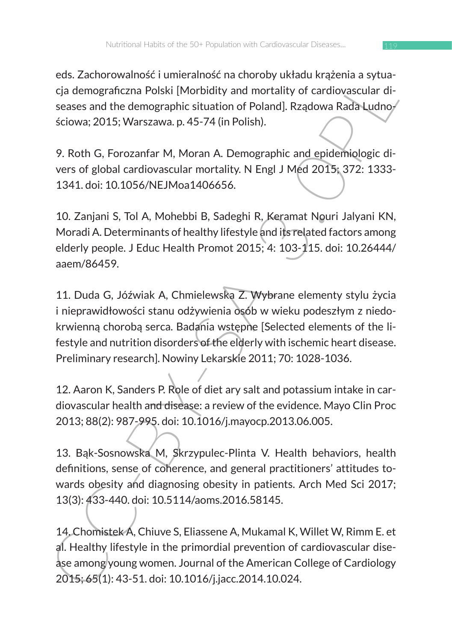eds. Zachorowalność i umieralność na choroby układu krążenia a sytuacja demograficzna Polski [Morbidity and mortality of cardiovascular diseases and the demographic situation of Poland]. Rządowa Rada Ludnościowa; 2015; Warszawa. p. 45-74 (in Polish).

9. Roth G, Forozanfar M, Moran A. Demographic and epidemiologic divers of global cardiovascular mortality. N Engl J Med 2015; 372: 1333- 1341. doi: 10.1056/NEJMoa1406656.

10. Zanjani S, Tol A, Mohebbi B, Sadeghi R, Keramat Nouri Jalyani KN, Moradi A. Determinants of healthy lifestyle and its related factors among elderly people. J Educ Health Promot 2015; 4: 103-115. doi: 10.26444/ aaem/86459.

eus. Zachtorowanios. Tominamios. Tachiory ustaration syrua-<br>
cja demograficzna Polski [Morbidity and mortality of cardiovascular di-<br>
seases and the demographic situation of Poland]. Rządowa Rada-Ludno<br>
séciova; 2015; Wars 11. Duda G, Jóźwiak A, Chmielewska Z. Wybrane elementy stylu życia i nieprawidłowości stanu odżywienia osób w wieku podeszłym z niedokrwienną chorobą serca. Badania wstępne [Selected elements of the lifestyle and nutrition disorders of the elderly with ischemic heart disease. Preliminary research]. Nowiny Lekarskie 2011; 70: 1028-1036.

12. Aaron K, Sanders P. Role of diet ary salt and potassium intake in cardiovascular health and disease: a review of the evidence. Mayo Clin Proc 2013; 88(2): 987-995. doi: 10.1016/j.mayocp.2013.06.005.

13. Bąk-Sosnowska M, Skrzypulec-Plinta V. Health behaviors, health definitions, sense of coherence, and general practitioners' attitudes towards obesity and diagnosing obesity in patients. Arch Med Sci 2017; 13(3): 433-440. doi: 10.5114/aoms.2016.58145.

14. Chomistek A, Chiuve S, Eliassene A, Mukamal K, Willet W, Rimm E. et al. Healthy lifestyle in the primordial prevention of cardiovascular disease among young women. Journal of the American College of Cardiology 2015; 65(1): 43-51. doi: 10.1016/j.jacc.2014.10.024.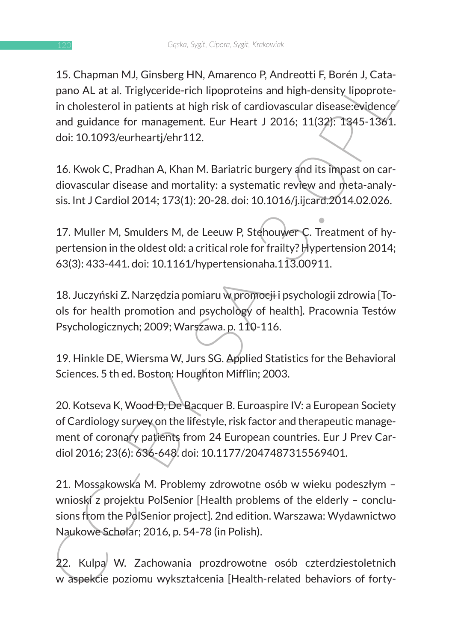13. Culpinum Moy, sundern (Amelia Marketto P, Antiento P, Antiento P, Antiento Roten J, Cali<br>pano AL at al. Triglyceride rich lipoproteins and high-density lipoprote-<br>in cholesterol in patients at high risk of cardiovascul 15. Chapman MJ, Ginsberg HN, Amarenco P, Andreotti F, Borén J, Catapano AL at al. Triglyceride-rich lipoproteins and high-density lipoprotein cholesterol in patients at high risk of cardiovascular disease:evidence and guidance for management. Eur Heart J 2016; 11(32): 1345-1361. doi: 10.1093/eurheartj/ehr112.

16. Kwok C, Pradhan A, Khan M. Bariatric burgery and its impast on cardiovascular disease and mortality: a systematic review and meta-analysis. Int J Cardiol 2014; 173(1): 20-28. doi: 10.1016/j.ijcard.2014.02.026.

17. Muller M, Smulders M, de Leeuw P, Stehouwer C. Treatment of hypertension in the oldest old: a critical role for frailty? Hypertension 2014; 63(3): 433-441. doi: 10.1161/hypertensionaha.113.00911.

18. Juczyński Z. Narzędzia pomiaru w promocji i psychologii zdrowia [Tools for health promotion and psychology of health]. Pracownia Testów Psychologicznych; 2009; Warszawa. p. 110-116.

19. Hinkle DE, Wiersma W, Jurs SG. Applied Statistics for the Behavioral Sciences. 5 th ed. Boston: Houghton Mifflin; 2003.

20. Kotseva K, Wood D, De Bacquer B. Euroaspire IV: a European Society of Cardiology survey on the lifestyle, risk factor and therapeutic management of coronary patients from 24 European countries. Eur J Prev Cardiol 2016; 23(6): 636-648. doi: 10.1177/2047487315569401.

21. Mossakowska M. Problemy zdrowotne osób w wieku podeszłym – wnioski z projektu PolSenior [Health problems of the elderly - conclusions from the PolSenior project]. 2nd edition. Warszawa: Wydawnictwo Naukowe Scholar; 2016, p. 54-78 (in Polish).

22. Kulpa W. Zachowania prozdrowotne osób czterdziestoletnich w aspekcie poziomu wykształcenia [Health-related behaviors of forty-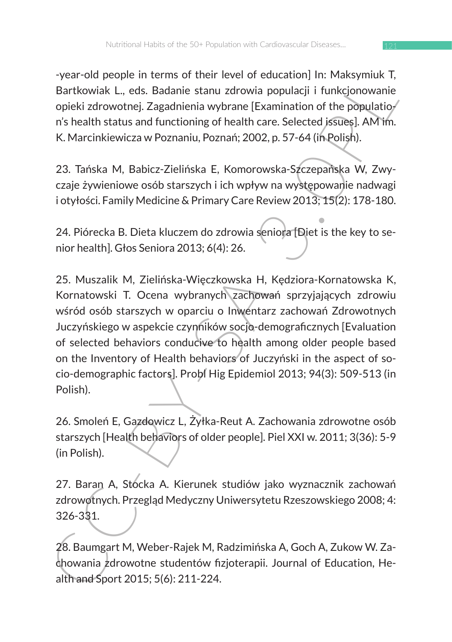-year-old people in terms of their level of education] In: Maksymiuk T, Bartkowiak L., eds. Badanie stanu zdrowia populacji i funkcjonowanie opieki zdrowotnej. Zagadnienia wybrane [Examination of the population's health status and functioning of health care. Selected issues]. AM im. K. Marcinkiewicza w Poznaniu, Poznań; 2002, p. 57-64 (in Polish).

23. Tańska M, Babicz-Zielińska E, Komorowska-Szczepańska W, Zwyczaje żywieniowe osób starszych i ich wpływ na występowanie nadwagi i otyłości. Family Medicine & Primary Care Review 2013; 15(2): 178-180.

24. Piórecka B. Dieta kluczem do zdrowia seniora [Diet is the key to senior health]. Głos Seniora 2013; 6(4): 26.

-year-oup per mierms of their hever of educationij in: "wassyntusk r, eds. Badanie stanu zdrowia populacji i funkcjonowanie<br>paiktowisk L, eds. Badanie stanu zdrowia populacji i funkcjonowanie<br>opieki zdrowotnej. Zagadnienia 25. Muszalik M, Zielińska-Więczkowska H, Kędziora-Kornatowska K, Kornatowski T. Ocena wybranych zachowań sprzyjających zdrowiu wśród osób starszych w oparciu o Inwentarz zachowań Zdrowotnych Juczyńskiego w aspekcie czynników socjo-demograficznych [Evaluation of selected behaviors conducive to health among older people based on the Inventory of Health behaviors of Juczyński in the aspect of socio-demographic factors]. Probl Hig Epidemiol 2013; 94(3): 509-513 (in Polish).

26. Smoleń E, Gazdowicz L, Żyłka-Reut A. Zachowania zdrowotne osób starszych [Health behaviors of older people]. Piel XXI w. 2011; 3(36): 5-9 (in Polish).

27. Baran A, Stocka A. Kierunek studiów jako wyznacznik zachowań zdrowotnych. Przegląd Medyczny Uniwersytetu Rzeszowskiego 2008; 4: 326-331.

28. Baumgart M, Weber-Rajek M, Radzimińska A, Goch A, Zukow W. Zachowania zdrowotne studentów fizjoterapii. Journal of Education, Health and Sport 2015; 5(6): 211-224.